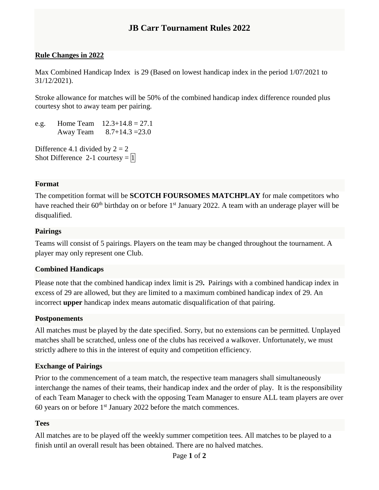# **JB Carr Tournament Rules 2022**

### **Rule Changes in 2022**

Max Combined Handicap Index is 29 (Based on lowest handicap index in the period 1/07/2021 to 31/12/2021).

Stroke allowance for matches will be 50% of the combined handicap index difference rounded plus courtesy shot to away team per pairing.

e.g. Home Team  $12.3+14.8 = 27.1$ Away Team 8.7+14.3 =23.0

Difference 4.1 divided by  $2 = 2$ Shot Difference 2-1 courtesy  $= |1|$ 

#### **Format**

The competition format will be **SCOTCH FOURSOMES MATCHPLAY** for male competitors who have reached their  $60<sup>th</sup>$  birthday on or before 1<sup>st</sup> January 2022. A team with an underage player will be disqualified.

#### **Pairings**

Teams will consist of 5 pairings. Players on the team may be changed throughout the tournament. A player may only represent one Club.

#### **Combined Handicaps**

Please note that the combined handicap index limit is 29**.** Pairings with a combined handicap index in excess of 29 are allowed, but they are limited to a maximum combined handicap index of 29. An incorrect **upper** handicap index means automatic disqualification of that pairing.

#### **Postponements**

All matches must be played by the date specified. Sorry, but no extensions can be permitted. Unplayed matches shall be scratched, unless one of the clubs has received a walkover. Unfortunately, we must strictly adhere to this in the interest of equity and competition efficiency.

#### **Exchange of Pairings**

Prior to the commencement of a team match, the respective team managers shall simultaneously interchange the names of their teams, their handicap index and the order of play. It is the responsibility of each Team Manager to check with the opposing Team Manager to ensure ALL team players are over 60 years on or before 1st January 2022 before the match commences.

#### **Tees**

All matches are to be played off the weekly summer competition tees. All matches to be played to a finish until an overall result has been obtained. There are no halved matches.